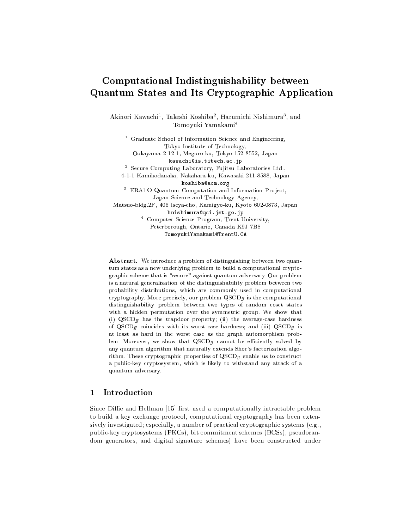# Computational Indistinguishability between Quantum States and Its Cryptographic Application

Akinori Kawachi<sup>1</sup>, Takeshi Koshiba<sup>2</sup>, Harumichi Nishimura<sup>3</sup>, and Tomoyuki Yamakami<sup>4</sup>

<sup>1</sup> Graduate School of Information Science and Engineering, Tokyo Institute of Technology, Ookayama 2-12-1, Meguro-ku, Tokyo 152-8552, Japan kawachi@is.titech.ac.jp <sup>2</sup> Secure Computing Laboratory, Fujitsu Laboratories Ltd., 4-1-1 Kamikodanaka, Nakahara-ku, Kawasaki 211-8588, Japan koshiba@acm.org <sup>3</sup> ERATO Quantum Computation and Information Project, Japan Science and Technology Agency, Matsuo-bldg. 2F, 406 Iseya-cho, Kamigyo-ku, Kyoto 602-0873, Japan hnishimura@qci.jst.go.jp <sup>4</sup> Computer Science Program, Trent University, Peterborough, Ontario, Canada K9J 7B8 TomoyukiYamakami@TrentU.CA

Abstract. We introduce a problem of distinguishing between two quantum states as a new underlying problem to build a computational cryptographic scheme that is "secure" against quantum adversary. Our problem is a natural generalization of the distinguishability problem between two probability distributions, which are commonly used in computational cryptography. More precisely, our problem  $QSCD<sub>f</sub>$  is the computational distinguishability problem between two types of random coset states with a hidden permutation over the symmetric group. We show that (i)  $QSCD<sub>f</sub>$  has the trapdoor property; (ii) the average-case hardness of QSCD<sub>ff</sub> coincides with its worst-case hardness; and (iii) QSCD<sub>ff</sub> is at least as hard in the worst case as the graph automorphism problem. Moreover, we show that  $QSCD_f$  cannot be efficiently solved by any quantum algorithm that naturally extends Shor's factorization algorithm. These cryptographic properties of  $QSCD<sub>f{f</sub>}$  enable us to construct a public-key cryptosystem, which is likely to withstand any attack of a quantum adversary.

### $\mathbf 1$ Introduction

Since Diffie and Hellman [15] first used a computationally intractable problem to build a key exchange protocol, computational cryptography has been extensively investigated; especially, a number of practical cryptographic systems  $(e.g.,$ public-key cryptosystems (PKCs), bit commitment schemes (BCSs), pseudorandom generators, and digital signature schemes) have been constructed under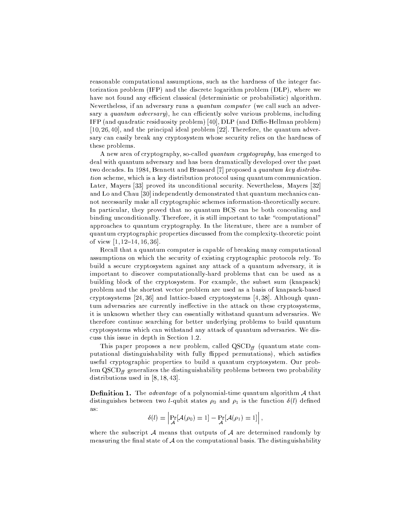reasonable computational assumptions, such as the hardness of the integer fac- $\mathcal{F}(\mathcal{F},\mathcal{F})$  . For a  $\mathcal{F}(\mathcal{F})$  ,  $\mathcal{F}(\mathcal{F})$  ,  $\mathcal{F}(\mathcal{F})$  ,  $\mathcal{F}(\mathcal{F})$  ,  $\mathcal{F}(\mathcal{F})$  ,  $\mathcal{F}(\mathcal{F})$  ,  $\mathcal{F}(\mathcal{F})$  ,  $\mathcal{F}(\mathcal{F})$  ,  $\mathcal{F}(\mathcal{F})$  ,  $\mathcal{F}(\mathcal{F})$  ,  $\mathcal{F}(\mathcal{F})$  ,  $\mathcal{$  $\mathcal{S}$  and 2DG extending the state of the definition of the definition of the definition of the definition of the definition of the definition of the definition of the definition of the definition of the definition of t b1X/gXF ZOPX\XYZYTSJ@2VKWB&KNf\$/GXFZYcKNFZhFZ`PBPYK  4¥L¾X+MTK &YH`PM!O&KWBíKNf/gXF.  $\mathcal{N}$  . The set of the set of the set of the set of the set of the set of the set of the set of the set of the set of the set of the set of the set of the set of the set of the set of the set of the set of the set of t  $\frac{2\pi}{\pi}$  for the contract  $\frac{2\pi}{\pi}$  and  $\frac{2\pi}{\pi}$  and  $\frac{2\pi}{\pi}$  and  $\frac{2\pi}{\pi}$  $[10, 26, 40]$ , and the principal ideal problem  $[22]$ . Therefore, the quantum adver-YAKHA MTKWB XKNYH@\hatari David David David David David David David David David David David David David David D these problems.

the control and the control of the control of the control of the control of the control of the control of the control of the control of the control of the control of the control of the control of the control of the contro fProduct Plant Plant Plant Paokwa K Hamada K Hamada K Hamada K Hamada K Hamada K Hamada K Hamada K Hamada K Ha under the source of the source of the source of the source of the source of the source of the source of the source of the source of the source of the source of the source of the source of the source of the source of the so  $B\subset\mathbb{R}^2$  and  $B\subset\mathbb{R}^2$  and  $B\subset\mathbb{R}^2$  and  $B\subset\mathbb{R}^2$  and  $B\subset\mathbb{R}^2$ - arthur field in the state of the state of the state of the field of the state of the state of the state of the state of the state of the state of the state of the state of the state of the state of the state of the state t:ho4k! : and the following the state of the state of the state of the state of the state of the state of the s an: a MXYHY in the top of the top of the top of the top of the top of the top of the top of the top of the top of the top of the top of the top of the top of the top of the top of the top of the top of the top of the top uba komponist zopis zopis zopis zopis zopis zopis zopis zopis zopis zopis zopis zopis zopis zopis zopis zopis [P@\BPfP@\B(+`PBPM{DGBPfP@Z@CDgB#K!\h"5U=OPXFZX72DgFHXGSE@&@CYY H@P@\a,4DGFcKWB-ZD)cKW?GXIHHM{DGa,E`cK H@\DGB#K ?J  $\blacksquare$  $\alpha$  antum cryptographic properties discussed from the complexity-theoretic point of view  $[1, 12-14, 16, 36]$ .

Recall that a quantum computer is capable of breaking many computational assumptions on which the security of existing cryptographic protocols rely. To the contraction of the contraction of the contraction of the contraction of the contraction of the contraction of the contraction of the contraction of the contraction of the contraction of the contraction of the contracti  $\blacksquare$ building block of the cryptosystem. For example, the subset sum (knapsack) problem and the shortest vector problem are used as a basis of knapsack-based matheryharika in the state of the state of the state of the state of the state of the state of the state of the state of the state of the state of the state of the state of the state of the state of the state of the state the first three contracts. As a contract of the contracts of the contracts of the contracts of the contracts of the contracts of the contracts of the contracts of the contracts of the contracts of the contracts of the cont . A Representation of the contract  $\mathcal{A}$  and  $\mathcal{A}$  and  $\mathcal{A}$  are contracted to  $\mathcal{A}$  and  $\mathcal{A}$ that the state of the state of the state of the state of the state of the state of the state of the state of the state of the state of the state of the state of the state of the state of the state of the state of the state where the communication of the communication of the communication of the communication of the communication of the communication of the communication of the communication of the communication of the communication of the co cuss this issue in depth in Section 1.2.

. U=Open + December + December + December + December + December + December + December + December + December + December + December + December + December + December + December + December + December + December + December + De . Patricipal in the Konstruction of the Construction of the Construction of the Construction of the Construction  $\mathbb{R}$  and  $\mathbb{R}$  and  $\mathbb{R}$  are  $\mathbb{R}$  and  $\mathbb{R}$  are  $\mathbb{R}$  and  $\mathbb{R}$  are  $\mathbb{R}$  and  $\mathbb{R}$  are  $\mathbb{R}$  and  $\mathbb{R}$  are  $\mathbb{R}$  and  $\mathbb{R}$  are  $\mathbb{R}$  and  $\mathbb{R}$  are  $\mathbb{R}$  and  $\mathbb{R}$  are  $\Lambda$ Bada) $\Lambda$  (gabatha Keyematika Kulu)  $\Lambda$  hop $\Lambda$  (gabatha Ko $\Lambda$ uhul $\Lambda$  $\mathcal{F}=\mathcal{F}=\mathcal{F}=\mathcal{F}=\mathcal{F}=\mathcal{F}=\mathcal{F}=\mathcal{F}=\mathcal{F}=\mathcal{F}=\mathcal{F}=\mathcal{F}=\mathcal{F}=\mathcal{F}=\mathcal{F}=\mathcal{F}=\mathcal{F}=\mathcal{F}=\mathcal{F}=\mathcal{F}=\mathcal{F}=\mathcal{F}=\mathcal{F}=\mathcal{F}=\mathcal{F}=\mathcal{F}=\mathcal{F}=\mathcal{F}=\mathcal{F}=\mathcal{F}=\mathcal{F}=\mathcal{F}=\mathcal{F}=\mathcal{F}=\mathcal{F}=\mathcal{F}=\mathcal{$ 

egfhGiYjkjlWi[mon U=OPXp"# 4.D!2VK%4D\*\hABPDga@K!. Z@Ca X`(A`#KNB"Z`Pa K!(gDGFH@ZOParq ZO#K! distinguishes between two *l*-qubit states  $\rho_0$  and  $\rho_1$  is the function  $\delta(l)$  defined as:

$$
\delta(l) = \left| \Pr_{\mathcal{A}}[\mathcal{A}(\rho_0) = 1] - \Pr_{\mathcal{A}}[\mathcal{A}(\rho_1) = 1] \right|,
$$

 $\mathcal{L}=\mathcal{L}=\mathcal{L}=\mathcal{L}=\mathcal{L}=\mathcal{L}=\mathcal{L}=\mathcal{L}=\mathcal{L}=\mathcal{L}=\mathcal{L}=\mathcal{L}=\mathcal{L}=\mathcal{L}=\mathcal{L}=\mathcal{L}=\mathcal{L}=\mathcal{L}=\mathcal{L}=\mathcal{L}=\mathcal{L}=\mathcal{L}=\mathcal{L}=\mathcal{L}=\mathcal{L}=\mathcal{L}=\mathcal{L}=\mathcal{L}=\mathcal{L}=\mathcal{L}=\mathcal{L}=\mathcal{L}=\mathcal{L}=\mathcal{L}=\mathcal{L}=\mathcal{L}=\mathcal{$ . A T $\Gamma$  and a different matrix  $\Gamma$  and  $\Gamma$  are featured for  $\Gamma$  and  $\Gamma$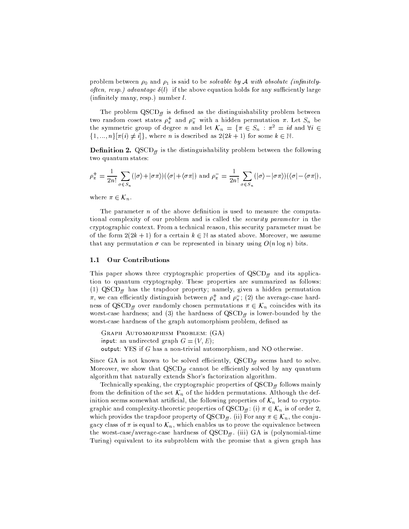problem between  $\rho_0$  and  $\rho_1$  is said to be *solvable by A with absolute (infinitely*often, resp.) advantage  $\delta(l)$  if the above equation holds for any sufficiently large (infinitely many, resp.) number  $l$ .

The problem  $QSCD<sub>f{f</sub>}$  is defined as the distinguishability problem between two random coset states  $\rho_{\pi}^+$  and  $\rho_{\pi}^-$  with a hidden permutation  $\pi$ . Let  $S_n$  be the symmetric group of degree *n* and let  $\mathcal{K}_n = {\pi \in S_n : \pi^2 = id}$  and  $\forall i \in$  $\{1, ..., n\}$ [ $\pi(i) \neq i$ ], where *n* is described as  $2(2k+1)$  for some  $k \in \mathbb{N}$ .

**Definition 2.** QSCD<sub>ff</sub> is the distinguishability problem between the following two quantum states:

$$
\rho_{\pi}^{+} = \frac{1}{2n!} \sum_{\sigma \in S_n} (|\sigma\rangle + |\sigma\pi\rangle) (\langle \sigma| + \langle \sigma\pi|) \text{ and } \rho_{\pi}^{-} = \frac{1}{2n!} \sum_{\sigma \in S_n} (|\sigma\rangle - |\sigma\pi\rangle) (\langle \sigma| - \langle \sigma\pi|),
$$

where  $\pi \in \mathcal{K}_n$ .

The parameter  $n$  of the above definition is used to measure the computational complexity of our problem and is called the *security parameter* in the cryptographic context. From a technical reason, this security parameter must be of the form  $2(2k+1)$  for a certain  $k \in \mathbb{N}$  as stated above. Moreover, we assume that any permutation  $\sigma$  can be represented in binary using  $O(n \log n)$  bits.

#### $1.1$ Our Contributions

This paper shows three cryptographic properties of  $QSCD<sub>f{f</sub>}$  and its application to quantum cryptography. These properties are summarized as follows: (1)  $QSCD<sub>f{f</sub>}$  has the trapdoor property; namely, given a hidden permutation  $\pi$ , we can efficiently distinguish between  $\rho^+_{\pi}$  and  $\rho^-_{\pi}$ ; (2) the average-case hardness of QSCD<sub>ff</sub> over randomly chosen permutations  $\pi \in \mathcal{K}_n$  coincides with its worst-case hardness; and (3) the hardness of  $QSCD<sub>f</sub>$  is lower-bounded by the worst-case hardness of the graph automorphism problem, defined as

GRAPH AUTOMORPHISM PROBLEM: (GA) input: an undirected graph  $G = (V, E)$ ; output: YES if G has a non-trivial automorphism, and NO otherwise.

Since GA is not known to be solved efficiently,  $QSCD<sub>f</sub>$  seems hard to solve. Moreover, we show that  $QSCD<sub>f{f</sub>}$  cannot be efficiently solved by any quantum algorithm that naturally extends Shor's factorization algorithm.

Technically speaking, the cryptographic properties of  $QSCD<sub>f{f</sub>}$  follows mainly from the definition of the set  $\mathcal{K}_n$  of the hidden permutations. Although the definition seems somewhat artificial, the following properties of  $\mathcal{K}_n$  lead to cryptographic and complexity-theoretic properties of  $QSCD_{ff}$ : (i)  $\pi \in \mathcal{K}_n$  is of order 2. which provides the trapdoor property of  $QSCD_{ff}$ . (ii) For any  $\pi \in \mathcal{K}_n$ , the conjugacy class of  $\pi$  is equal to  $\mathcal{K}_n$ , which enables us to prove the equivalence between the worst-case/average-case hardness of  $QSCD<sub>ff</sub>$ . (iii) GA is (polynomial-time Turing) equivalent to its subproblem with the promise that a given graph has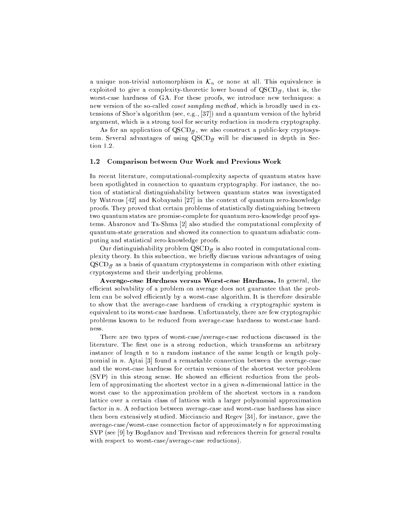a unique non-trivial automorphism in  $\mathcal{K}_n$  or none at all. This equivalence is exploited to give a complexity-theoretic lower bound of  $QSCD_{ff}$ , that is, the worst-case hardness of GA. For these proofs, we introduce new techniques: a new version of the so-called *coset sampling method*, which is broadly used in extensions of Shor's algorithm (see, e.g., [37]) and a quantum version of the hybrid argument, which is a strong tool for security reduction in modern cryptography.

As for an application of  $QSCD<sub>ff</sub>$ , we also construct a public-key cryptosystem. Several advantages of using  $QSCD<sub>ff</sub>$  will be discussed in depth in Section  $1.2$ .

#### 1.2 Comparison between Our Work and Previous Work

In recent literature, computational-complexity aspects of quantum states have been spotlighted in connection to quantum cryptography. For instance, the notion of statistical distinguishability between quantum states was investigated by Watrous [42] and Kobayashi [27] in the context of quantum zero-knowledge proofs. They proved that certain problems of statistically distinguishing between two quantum states are promise-complete for quantum zero-knowledge proof systems. Aharonov and Ta-Shma [2] also studied the computational complexity of quantum-state generation and showed its connection to quantum adiabatic computing and statistical zero-knowledge proofs.

Our distinguishability problem  $QSCD<sub>f</sub>$  is also rooted in computational complexity theory. In this subsection, we briefly discuss various advantages of using  $QSCD<sub>f{f</sub>}$  as a basis of quantum cryptosystems in comparison with other existing cryptosystems and their underlying problems.

Average-case Hardness versus Worst-case Hardness. In general, the efficient solvability of a problem on average does not guarantee that the problem can be solved efficiently by a worst-case algorithm. It is therefore desirable to show that the average-case hardness of cracking a cryptographic system is equivalent to its worst-case hardness. Unfortunately, there are few cryptographic problems known to be reduced from average-case hardness to worst-case hardness.

There are two types of worst-case/average-case reductions discussed in the literature. The first one is a strong reduction, which transforms an arbitrary instance of length  $n$  to a random instance of the same length or length polynomial in n. Ajtai [3] found a remarkable connection between the average-case and the worst-case hardness for certain versions of the shortest vector problem (SVP) in this strong sense. He showed an efficient reduction from the problem of approximating the shortest vector in a given  $n$ -dimensional lattice in the worst case to the approximation problem of the shortest vectors in a random lattice over a certain class of lattices with a larger polynomial approximation factor in n. A reduction between average-case and worst-case hardness has since then been extensively studied. Micciancio and Regev [34], for instance, gave the  $average-case/worst-case connection factor of approximately n for approximating$ SVP (see [9] by Bogdanov and Trevisan and references therein for general results with respect to worst-case/average-case reductions).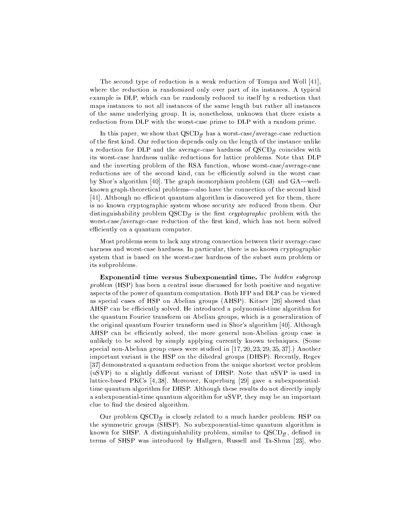The second type of reduction is a weak reduction of Tompa and Woll [41], where the reduction is randomized only over part of its instances. A typical example is DLP, which can be randomly reduced to itself by a reduction that maps instances to not all instances of the same length but rather all instances of the same underlying group. It is, nonetheless, unknown that there exists a reduction from DLP with the worst-case prime to DLP with a random prime.

In this paper, we show that  $QSCD<sub>f</sub>$  has a worst-case/average-case reduction of the first kind. Our reduction depends only on the length of the instance unlike a reduction for DLP and the average-case hardness of  $QSCD<sub>f{f</sub>}$  coincides with its worst-case hardness unlike reductions for lattice problems. Note that DLP and the inverting problem of the RSA function, whose worst-case/average-case reductions are of the second kind, can be efficiently solved in the worst case by Shor's algorithm [40]. The graph isomorphism problem  $(GI)$  and  $GA$ —wellknown graph-theoretical problems—also have the connection of the second kind [41]. Although no efficient quantum algorithm is discovered vet for them, there is no known cryptographic system whose security are reduced from them. Our distinguishability problem  $QSCD<sub>f</sub>$  is the first *cryptographic* problem with the worst-case/average-case reduction of the first kind, which has not been solved efficiently on a quantum computer.

Most problems seem to lack any strong connection between their average-case harness and worst-case hardness. In particular, there is no known cryptographic system that is based on the worst-case hardness of the subset sum problem or its subproblems.

**Exponential time versus Subexponential time.** The hidden subgroup *problem* (HSP) has been a central issue discussed for both positive and negative aspects of the power of quantum computation. Both IFP and DLP can be viewed as special cases of HSP on Abelian groups (AHSP). Kitaev [26] showed that AHSP can be efficiently solved. He introduced a polynomial-time algorithm for the quantum Fourier transform on Abelian groups, which is a generalization of the original quantum Fourier transform used in Shor's algorithm [40]. Although AHSP can be efficiently solved, the more general non-Abelian group case is unlikely to be solved by simply applying currently known techniques. (Some special non-Abelian group cases were studied in  $[17, 20, 23, 29, 35, 37]$ .) Another important variant is the HSP on the dihedral groups (DHSP). Recently, Regev [37] demonstrated a quantum reduction from the unique shortest vector problem (uSVP) to a slightly different variant of DHSP. Note that uSVP is used in lattice-based PKCs [4,38]. Moreover, Kuperburg [29] gave a subexponentialtime quantum algorithm for DHSP. Although these results do not directly imply a subexponential-time quantum algorithm for uSVP, they may be an important clue to find the desired algorithm.

Our problem  $QSCD<sub>f</sub>$  is closely related to a much harder problem: HSP on the symmetric groups (SHSP). No subexponential-time quantum algorithm is known for SHSP. A distinguishability problem, similar to  $QSCD<sub>ff</sub>$ , defined in terms of SHSP was introduced by Hallgren, Russell and Ta-Shma [23], who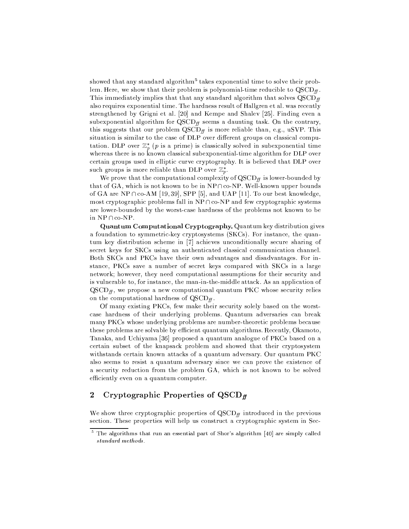showed that any standard algorithm<sup>5</sup> takes exponential time to solve their problem. Here, we show that their problem is polynomial-time reducible to  $\text{QSCD}_{\theta}$ . This immediately implies that that any standard algorithm that solves  $QSCD<sub>f</sub>$ also requires exponential time. The hardness result of Hallgren et al. was recently strengthened by Grigni et al. [20] and Kempe and Shalev [25]. Finding even a subexponential algorithm for  $QSCD<sub>f</sub>$  seems a daunting task. On the contrary, this suggests that our problem  $QSCD<sub>f{f}</sub>$  is more reliable than, e.g., uSVP. This situation is similar to the case of DLP over different groups on classical computation. DLP over  $\mathbb{Z}_n^*$  (p is a prime) is classically solved in subexponential time whereas there is no known classical subexponential-time algorithm for DLP over certain groups used in elliptic curve cryptography. It is believed that DLP over such groups is more reliable than DLP over  $\mathbb{Z}_p^*$ .

We prove that the computational complexity of  $QSCD<sub>f</sub>$  is lower-bounded by that of GA, which is not known to be in  $NP \cap co-NP$ . Well-known upper bounds of GA are NP  $\cap$  co-AM [19,39], SPP [5], and UAP [11]. To our best knowledge, most cryptographic problems fall in NP  $\cap$  co-NP and few cryptographic systems are lower-bounded by the worst-case hardness of the problems not known to be in NP ∩ co-NP.

Quantum Computational Cryptography. Quantum key distribution gives a foundation to symmetric-key cryptosystems (SKCs). For instance, the quantum key distribution scheme in [7] achieves unconditionally secure sharing of secret keys for SKCs using an authenticated classical communication channel. Both SKCs and PKCs have their own advantages and disadvantages. For instance. PKCs save a number of secret keys compared with SKCs in a large network; however, they need computational assumptions for their security and is vulnerable to, for instance, the man-in-the-middle attack. As an application of  $QSCD<sub>f</sub>$ , we propose a new computational quantum PKC whose security relies on the computational hardness of  $QSCD_{ff}$ .

Of many existing PKCs, few make their security solely based on the worstcase hardness of their underlying problems. Quantum adversaries can break many PKCs whose underlying problems are number-theoretic problems because these problems are solvable by efficient quantum algorithms. Recently, Okamoto, Tanaka, and Uchiyama [36] proposed a quantum analogue of PKCs based on a certain subset of the knapsack problem and showed that their cryptosystem withstands certain known attacks of a quantum adversary. Our quantum PKC also seems to resist a quantum adversary since we can prove the existence of a security reduction from the problem GA, which is not known to be solved efficiently even on a quantum computer.

# Cryptographic Properties of  $QSCD_{ff}$  $\overline{2}$

We show three cryptographic properties of  $QSCD<sub>f{f</sub>}$  introduced in the previous section. These properties will help us construct a cryptographic system in Sec-

 $5$  The algorithms that run an essential part of Shor's algorithm [40] are simply called standard methods.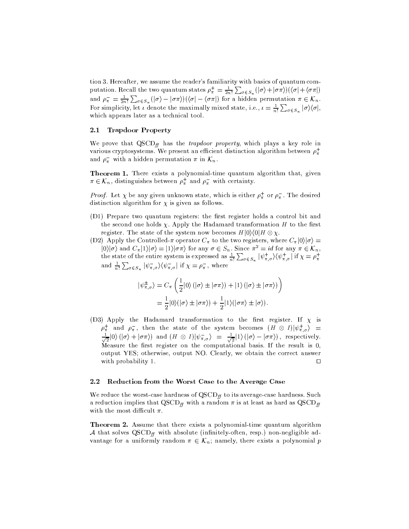tion 3. Hereafter, we assume the reader's familiarity with basics of quantum computation. Recall the two quantum states  $\rho_{\pi}^{+} = \frac{1}{2n!} \sum_{\sigma \in S_n} (|\sigma\rangle + |\sigma \pi\rangle)(\langle \sigma| + \langle \sigma \pi|)$ <br>and  $\rho_{\pi}^{-} = \frac{1}{2n!} \sum_{\sigma \in S_n} (|\sigma\rangle - |\sigma \pi\rangle)(\langle \sigma| - \langle \sigma \pi|)$  for a hidden permutation  $\pi \in \mathcal{K}_n$ . For simplicity, let *i* denote the maximally mixed state, i.e.,  $i = \frac{1}{n!} \sum_{\sigma \in S_n} |\sigma\rangle\langle\sigma|$ . which appears later as a technical tool.

#### 2.1 **Trapdoor Property**

We prove that  $QSCD<sub>f{f</sub>}$  has the *trapdoor property*, which plays a key role in various cryptosystems. We present an efficient distinction algorithm between  $\rho_{\pi}^{+}$ and  $\rho_{\pi}^-$  with a hidden permutation  $\pi$  in  $\mathcal{K}_n$ .

Theorem 1. There exists a polynomial-time quantum algorithm that, given  $\pi \in \mathcal{K}_n$ , distinguishes between  $\rho_{\pi}^+$  and  $\rho_{\pi}^-$  with certainty.

*Proof.* Let  $\chi$  be any given unknown state, which is either  $\rho_{\pi}^+$  or  $\rho_{\pi}^-$ . The desired distinction algorithm for  $\chi$  is given as follows.

- (D1) Prepare two quantum registers: the first register holds a control bit and the second one holds  $\chi$ . Apply the Hadamard transformation H to the first register. The state of the system now becomes  $H|0\rangle\langle0|H\otimes\chi$ .
- (D2) Apply the Controlled- $\pi$  operator  $C_{\pi}$  to the two registers, where  $C_{\pi}|0\rangle|\sigma\rangle =$  $|0\rangle|\sigma\rangle$  and  $C_{\pi}|1\rangle|\sigma\rangle=|1\rangle|\sigma\pi\rangle$  for any  $\sigma\in S_n$ . Since  $\pi^2=id$  for any  $\pi\in\mathcal{K}_n$ , the state of the entire system is expressed as  $\frac{1}{n!} \sum_{\sigma \in S_n} |\psi_{\pi,\sigma}^+\rangle \langle \psi_{\pi,\sigma}^+|$  if  $\chi = \rho_{\pi}^+$ and  $\frac{1}{n!}\sum_{\sigma\in S_n}|\psi_{\pi,\sigma}^-\rangle\langle\psi_{\pi,\sigma}^-|$  if  $\chi=\rho_{\pi}^-$ , where

$$
|\psi_{\pi,\sigma}^{\pm}\rangle = C_{\pi} \left(\frac{1}{2}|0\rangle (|\sigma\rangle \pm |\sigma\pi\rangle) + |1\rangle (|\sigma\rangle \pm |\sigma\pi\rangle) \right)
$$
  
=  $\frac{1}{2}|0\rangle (|\sigma\rangle \pm |\sigma\pi\rangle) + \frac{1}{2}|1\rangle (|\sigma\pi\rangle \pm |\sigma\rangle).$ 

(D3) Apply the Hadamard transformation to the first register. If  $\chi$  is  $\rho^+_{\pi}$  and  $\rho^-_{\pi}$ , then the state of the system becomes  $(H \otimes I)|\psi^+_{\pi,\sigma}\rangle =$  $\frac{1}{\sqrt{2}}|0\rangle (|\sigma\rangle + |\sigma\pi\rangle)$  and  $(H \otimes I)|\psi_{\pi,\sigma}^{-}\rangle = \frac{1}{\sqrt{2}}|1\rangle (|\sigma\rangle - |\sigma\pi\rangle)$ , respectively.<br>Measure the first register on the computational basis. If the result is 0, output YES; otherwise, output NO. Clearly, we obtain the correct answer with probability 1.  $\Box$ 

#### Reduction from the Worst Case to the Average Case 2.2

We reduce the worst-case hardness of  $QSCD<sub>ff</sub>$  to its average-case hardness. Such a reduction implies that  $QSCD<sub>f</sub>$  with a random  $\pi$  is at least as hard as  $QSCD<sub>f</sub>$ with the most difficult  $\pi$ .

**Theorem 2.** Assume that there exists a polynomial-time quantum algorithm A that solves  $QSCD<sub>f</sub>$  with absolute (infinitely-often, resp.) non-negligible advantage for a uniformly random  $\pi \in \mathcal{K}_n$ ; namely, there exists a polynomial p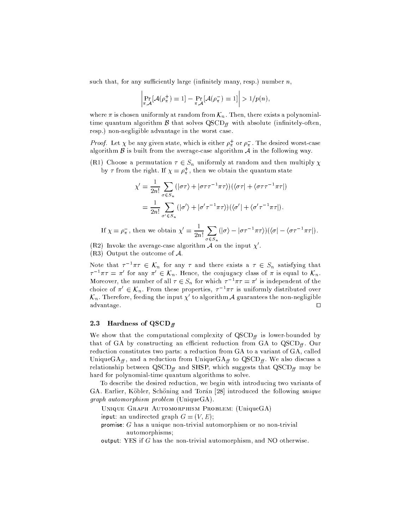such that, for any sufficiently large (infinitely many, resp.) number  $n$ ,

$$
\left|\Pr_{\pi,\mathcal{A}}[\mathcal{A}(\rho_{\pi}^+)=1]-\Pr_{\pi,\mathcal{A}}[\mathcal{A}(\rho_{\pi}^-)=1]\right|>1/p(n),
$$

where  $\pi$  is chosen uniformly at random from  $\mathcal{K}_n$ . Then, there exists a polynomialtime quantum algorithm B that solves  $QSCD<sub>f</sub>$  with absolute (infinitely-often, resp.) non-negligible advantage in the worst case.

*Proof.* Let  $\chi$  be any given state, which is either  $\rho^+_{\pi}$  or  $\rho^-_{\pi}$ . The desired worst-case algorithm  $\beta$  is built from the average-case algorithm  $\mathcal A$  in the following way.

(R1) Choose a permutation  $\tau \in S_n$  uniformly at random and then multiply  $\chi$ by  $\tau$  from the right. If  $\chi = \rho_{\pi}^{+}$ , then we obtain the quantum state

$$
\chi' = \frac{1}{2n!} \sum_{\sigma \in S_n} (|\sigma \tau\rangle + |\sigma \tau \tau^{-1} \pi \tau\rangle) (\langle \sigma \tau| + \langle \sigma \tau \tau^{-1} \pi \tau|)
$$
  
= 
$$
\frac{1}{2n!} \sum_{\sigma' \in S_n} (|\sigma'\rangle + |\sigma' \tau^{-1} \pi \tau\rangle) (\langle \sigma'| + \langle \sigma' \tau^{-1} \pi \tau|).
$$

If 
$$
\chi = \rho_{\pi}
$$
, then we obtain  $\chi' = \frac{1}{2n!} \sum_{\sigma \in S_n} (|\sigma\rangle - |\sigma\tau^{-1}\pi\tau\rangle) (\langle \sigma| - \langle \sigma\tau^{-1}\pi\tau|).$ 

(R2) Invoke the average-case algorithm  $A$  on the input  $\chi'$ .

 $(R3)$  Output the outcome of A.

Note that  $\tau^{-1}\pi\tau \in \mathcal{K}_n$  for any  $\tau$  and there exists a  $\tau \in S_n$  satisfying that  $\tau^{-1}\pi\tau = \pi'$  for any  $\pi' \in \mathcal{K}_n$ . Hence, the conjugacy class of  $\pi$  is equal to  $\mathcal{K}_n$ . Moreover, the number of all  $\tau \in S_n$  for which  $\tau^{-1} \pi \tau = \pi'$  is independent of the choice of  $\pi' \in \mathcal{K}_n$ . From these properties,  $\tau^{-1} \pi \tau$  is uniformly distributed over  $\mathcal{K}_n$ . Therefore, feeding the input  $\chi'$  to algorithm A guarantees the non-negligible advantage.  $\Box$ 

#### 2.3 Hardness of  $QSCD<sub>f</sub>$

We show that the computational complexity of  $QSCD<sub>f{f</sub>}$  is lower-bounded by that of GA by constructing an efficient reduction from GA to  $QSCD_{ff}$ . Our reduction constitutes two parts: a reduction from GA to a variant of GA, called Unique  $GA_{ff}$ , and a reduction from Unique  $GA_{ff}$  to  $QSCD_{ff}$ . We also discuss a relationship between  $QSCD_{ff}$  and SHSP, which suggests that  $QSCD_{ff}$  may be hard for polynomial-time quantum algorithms to solve.

To describe the desired reduction, we begin with introducing two variants of GA. Earlier, Köbler, Schöning and Torán [28] introduced the following unique  $graph \ automorphism \ problem$  (UniqueGA).

UNIQUE GRAPH AUTOMORPHISM PROBLEM: (UniqueGA)

input: an undirected graph  $G = (V, E)$ ;

- promise:  $G$  has a unique non-trivial automorphism or no non-trivial automorphisms;
- output: YES if  $G$  has the non-trivial automorphism, and NO otherwise.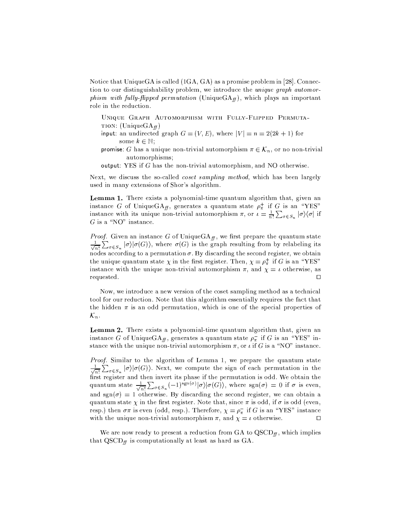Notice that UniqueGA is called (1GA, GA) as a promise problem in [28]. Connection to our distinguishability problem, we introduce the *unique graph automorphism with fully-flipped permutation* (UniqueGA $_{ff}$ ), which plays an important role in the reduction.

- UNIQUE GRAPH AUTOMORPHISM WITH FULLY-FLIPPED PERMUTA-TION: (Unique  $GA_{ff}$ )
- input: an undirected graph  $G = (V, E)$ , where  $|V| = n = 2(2k + 1)$  for some  $k \in \mathbb{N}$ ;
- promise: G has a unique non-trivial automorphism  $\pi \in \mathcal{K}_n$ , or no non-trivial automorphisms;
- output: YES if G has the non-trivial automorphism, and NO otherwise.

Next, we discuss the so-called *coset sampling method*, which has been largely used in many extensions of Shor's algorithm.

Lemma 1. There exists a polynomial-time quantum algorithm that, given an instance G of UniqueGA $_{ff}$ , generates a quantum state  $\rho^+_{\pi}$  if G is an "YES" instance with its unique non-trivial automorphism  $\pi$ , or  $\iota = \frac{1}{n!} \sum_{\sigma \in S_n} |\sigma\rangle\langle\sigma|$  if  $G$  is a "NO" instance.

*Proof.* Given an instance G of UniqueGA $_{ff}$ , we first prepare the quantum state  $\frac{1}{\sqrt{n!}}\sum_{\sigma\in S_n}|\sigma\rangle|\sigma(G)\rangle$ , where  $\sigma(G)$  is the graph resulting from by relabeling its nodes according to a permutation  $\sigma$ . By discarding the second register, we obtain the unique quantum state  $\chi$  in the first register. Then,  $\chi = \rho_{\pi}^{+}$  if G is an "YES" instance with the unique non-trivial automorphism  $\pi$ , and  $\chi = \iota$  otherwise, as requested.  $\Box$ 

Now, we introduce a new version of the coset sampling method as a technical tool for our reduction. Note that this algorithm essentially requires the fact that the hidden  $\pi$  is an odd permutation, which is one of the special properties of  ${\mathcal K}_n$ .

Lemma 2. There exists a polynomial-time quantum algorithm that, given an instance G of UniqueGA $_H$ , generates a quantum state  $\rho_{\pi}^-$  if G is an "YES" instance with the unique non-trivial automorphism  $\pi$ , or *i* if G is a "NO" instance.

Proof. Similar to the algorithm of Lemma 1, we prepare the quantum state  $\frac{1}{\sqrt{n!}}\sum_{\sigma \in S_n} |\sigma\rangle |\sigma(G)\rangle$ . Next, we compute the sign of each permutation in the first register and then invert its phase if the permutation is odd. We obtain the quantum state  $\frac{1}{\sqrt{n!}}\sum_{\sigma \in S_n}(-1)^{\text{sgn}(\sigma)}|\sigma\rangle |\sigma$ and sgn( $\sigma$ ) = 1 otherwise. By discarding the second register, we can obtain a quantum state  $\chi$  in the first register. Note that, since  $\pi$  is odd, if  $\sigma$  is odd (even, resp.) then  $\sigma\pi$  is even (odd, resp.). Therefore,  $\chi = \rho_{\pi}^-$  if G is an "YES" instance with the unique non-trivial automorphism  $\pi$ , and  $\chi = \iota$  otherwise.  $\Box$ 

We are now ready to present a reduction from GA to  $QSCD<sub>ff</sub>$ , which implies that  $QSCD<sub>ff</sub>$  is computationally at least as hard as GA.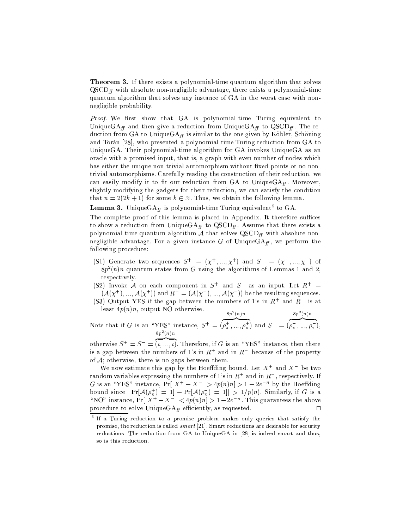**Theorem 3.** If there exists a polynomial-time quantum algorithm that solves  $QSCD<sub>f</sub>$  with absolute non-negligible advantage, there exists a polynomial-time quantum algorithm that solves any instance of GA in the worst case with nonnegligible probability.

*Proof.* We first show that GA is polynomial-time Turing equivalent to Unique  $GA_{\pi}$  and then give a reduction from Unique  $GA_{\pi}$  to  $QSCD_{\pi}$ . The reduction from GA to UniqueGA $_H$  is similar to the one given by Köbler, Schöning and Torán [28], who presented a polynomial-time Turing reduction from GA to UniqueGA. Their polynomial-time algorithm for GA invokes UniqueGA as an oracle with a promised input, that is, a graph with even number of nodes which has either the unique non-trivial automorphism without fixed points or no nontrivial automorphisms. Carefully reading the construction of their reduction, we can easily modify it to fit our reduction from GA to UniqueGA $_{\rm ff}$ . Moreover, slightly modifying the gadgets for their reduction, we can satisfy the condition that  $n = 2(2k + 1)$  for some  $k \in \mathbb{N}$ . Thus, we obtain the following lemma.

**Lemma 3.** Unique  $GA_f$  is polynomial-time Turing equivalent<sup>6</sup> to GA.

The complete proof of this lemma is placed in Appendix. It therefore suffices to show a reduction from UniqueGA $_H$  to QSCD $_H$ . Assume that there exists a polynomial-time quantum algorithm  $A$  that solves  $QSCD<sub>f{f</sub>}$  with absolute nonnegligible advantage. For a given instance  $G$  of Unique $GA_f$ , we perform the following procedure:

- (S1) Generate two sequences  $S^+ = (\chi^+, ..., \chi^+)$  and  $S^- = (\chi^-, ..., \chi^-)$  of  $8p<sup>2</sup>(n)n$  quantum states from G using the algorithms of Lemmas 1 and 2. respectively.
- (S2) Invoke A on each component in  $S^+$  and  $S^-$  as an input. Let  $R^+$  =  $(\mathcal{A}(\chi^+),...,\mathcal{A}(\chi^+))$  and  $R^- = (\mathcal{A}(\chi^-),...,\mathcal{A}(\chi^-))$  be the resulting sequences.
- (S3) Output YES if the gap between the numbers of 1's in  $R^+$  and  $R^-$  is at least  $4p(n)n$ , output NO otherwise.

Note that if G is an "YES" instance,  $S^+ = \overbrace{(\rho^+_n, ..., \rho^+_n)}^{8p^2(n)n}$  and  $S^- = \overbrace{(\rho^-_n, ..., \rho^-_n)}^{8p^2(n)n}$ , otherwise  $S^+ = S^- = \overbrace{(t, ..., t)}^{8p^2(n)n}$ . Therefore, if G is an "YES" instance, then there

is a gap between the numbers of 1's in  $R^+$  and in  $R^-$  because of the property of  $A_i$ ; otherwise, there is no gaps between them.

We now estimate this gap by the Hoeffding bound. Let  $X^+$  and  $X^-$  be two random variables expressing the numbers of 1's in  $R^+$  and in  $R^-$ , respectively. If G is an "YES" instance,  $Pr[|X^+ - X^-| > 4p(n)n] > 1 - 2e^{-n}$  by the Hoeffding bound since  $|\Pr[\mathcal{A}(\rho_{\pi}^+) = 1] - \Pr[\mathcal{A}(\rho_{\pi}^-) = 1]| > 1/p(n)$ . Similarly, if G is a "NO" instance,  $Pr[|X^+ - X^-| < 4p(n)n] > 1 - 2e^{-n}$ . This guarantees the above procedure to solve UniqueGA $_H$  efficiently, as requested.  $\Box$ 

<sup>&</sup>lt;sup>6</sup> If a Turing reduction to a promise problem makes only queries that satisfy the promise, the reduction is called  $smart$  [21]. Smart reductions are desirable for security reductions. The reduction from GA to UniqueGA in [28] is indeed smart and thus, so is this reduction.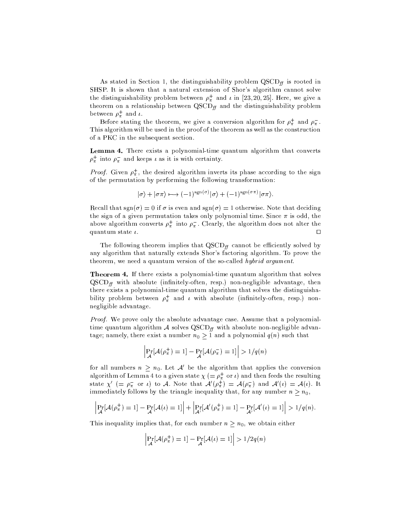As stated in Section 1, the distinguishability problem  $QSCD<sub>f</sub>$  is rooted in SHSP. It is shown that a natural extension of Shor's algorithm cannot solve the distinguishability problem between  $\rho_{\pi}^{+}$  and  $\iota$  in [23, 20, 25]. Here, we give a theorem on a relationship between  $QSCD<sub>f</sub>$  and the distinguishability problem between  $\rho^+_{\pi}$  and  $\iota$ .

Before stating the theorem, we give a conversion algorithm for  $\rho^+_{\pi}$  and  $\rho^-_{\pi}$ . This algorithm will be used in the proof of the theorem as well as the construction of a PKC in the subsequent section.

Lemma 4. There exists a polynomial-time quantum algorithm that converts  $\rho^+_{\pi}$  into  $\rho^-_{\pi}$  and keeps *i* as it is with certainty.

*Proof.* Given  $\rho_{\pi}^{+}$ , the desired algorithm inverts its phase according to the sign of the permutation by performing the following transformation:

$$
|\sigma\rangle + |\sigma\pi\rangle \longmapsto (-1)^{\text{sgn}(\sigma)} |\sigma\rangle + (-1)^{\text{sgn}(\sigma\pi)} |\sigma\pi\rangle.
$$

Recall that  $sgn(\sigma) = 0$  if  $\sigma$  is even and  $sgn(\sigma) = 1$  otherwise. Note that deciding the sign of a given permutation takes only polynomial time. Since  $\pi$  is odd, the above algorithm converts  $\rho_{\pi}^{+}$  into  $\rho_{\pi}^{-}$ . Clearly, the algorithm does not alter the quantum state  $\iota$ .  $\Box$ 

The following theorem implies that  $QSCD<sub>f{f</sub>}$  cannot be efficiently solved by any algorithm that naturally extends Shor's factoring algorithm. To prove the theorem, we need a quantum version of the so-called hybrid argument.

**Theorem 4.** If there exists a polynomial-time quantum algorithm that solves  $QSCD<sub>ff</sub>$  with absolute (infinitely-often, resp.) non-negligible advantage, then there exists a polynomial-time quantum algorithm that solves the distinguishability problem between  $\rho_{\pi}^+$  and  $\iota$  with absolute (infinitely-often, resp.) nonnegligible advantage.

*Proof.* We prove only the absolute advantage case. Assume that a polynomialtime quantum algorithm A solves  $QSCD<sub>f{f</sub>}$  with absolute non-negligible advantage; namely, there exist a number  $n_0 \geq 1$  and a polynomial  $q(n)$  such that

$$
\left|\Pr_{\mathcal{A}}[\mathcal{A}(\rho_{\pi}^+) = 1] - \Pr_{\mathcal{A}}[\mathcal{A}(\rho_{\pi}^-) = 1]\right| > 1/q(n)
$$

for all numbers  $n > n_0$ . Let A' be the algorithm that applies the conversion algorithm of Lemma 4 to a given state  $\chi$  (=  $\rho^+_{\pi}$  or  $\iota$ ) and then feeds the resulting state  $\chi'$  (=  $\rho_{\pi}^-$  or *i*) to A. Note that  $\mathcal{A}'(\rho_{\pi}^+) = \mathcal{A}(\rho_{\pi}^-)$  and  $\mathcal{A}'(\iota) = \mathcal{A}(\iota)$ . It immediately follows by the triangle inequality that, for any number  $n > n_0$ ,

$$
\left|\Pr_{\mathcal{A}}[\mathcal{A}(\rho_{\pi}^+) = 1] - \Pr_{\mathcal{A}}[\mathcal{A}(\iota) = 1]\right| + \left|\Pr_{\mathcal{A}'}[\mathcal{A}'(\rho_{\pi}^+) = 1] - \Pr_{\mathcal{A}'}[\mathcal{A}'(\iota) = 1]\right| > 1/q(n).
$$

This inequality implies that, for each number  $n > n_0$ , we obtain either

$$
\left|\Pr_{\mathcal{A}}[\mathcal{A}(\rho_{\pi}^+)=1]-\Pr_{\mathcal{A}}[\mathcal{A}(\iota)=1]\right|>1/2q(n)
$$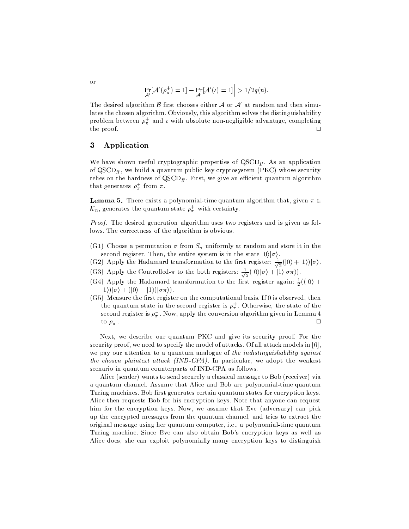$$
\left|\Pr_{\mathcal{A}'}[\mathcal{A}'(\rho_{\pi}^+) = 1] - \Pr_{\mathcal{A}'}[\mathcal{A}'(t) = 1]\right| > 1/2q(n).
$$

The desired algorithm  $\beta$  first chooses either  $\mathcal A$  or  $\mathcal A'$  at random and then simulates the chosen algorithm. Obviously, this algorithm solves the distinguishability problem between  $\rho^+_{\pi}$  and  $\iota$  with absolute non-negligible advantage, completing the proof.  $\Box$ 

### Application 3

We have shown useful cryptographic properties of  $QSCD<sub>f</sub>$ . As an application of  $QSCD<sub>f</sub>$ , we build a quantum public-key cryptosystem (PKC) whose security relies on the hardness of  $QSCD<sub>f</sub>$ . First, we give an efficient quantum algorithm that generates  $\rho_{\pi}^{+}$  from  $\pi$ .

**Lemma 5.** There exists a polynomial-time quantum algorithm that, given  $\pi \in$  $\mathcal{K}_n$ , generates the quantum state  $\rho^+_{\pi}$  with certainty.

*Proof.* The desired generation algorithm uses two registers and is given as follows. The correctness of the algorithm is obvious.

- (G1) Choose a permutation  $\sigma$  from  $S_n$  uniformly at random and store it in the second register. Then, the entire system is in the state  $|0\rangle|\sigma\rangle$ .<br>(G2) Apply the Hadamard transformation to the first register:  $\frac{1}{\sqrt{2}}(|0\rangle + |1\rangle)|\sigma\rangle$ .
- 
- (G3) Apply the Controlled- $\pi$  to the both registers:  $\frac{1}{\sqrt{2}}(|0\rangle|\sigma\rangle+|1\rangle|\sigma\pi\rangle)$ .
- (G4) Apply the Hadamard transformation to the first register again:  $\frac{1}{2}((0) +$  $|1\rangle$  $|\sigma\rangle + (|0\rangle - |1\rangle)|\sigma\pi\rangle$ .
- (G5) Measure the first register on the computational basis. If 0 is observed, then the quantum state in the second register is  $\rho^+$ . Otherwise, the state of the second register is  $\rho_{\pi}^{-}$ . Now, apply the conversion algorithm given in Lemma 4  $\Box$ to  $\rho_{\pi}^{-}$ .

Next, we describe our quantum PKC and give its security proof. For the security proof, we need to specify the model of attacks. Of all attack models in [6], we pay our attention to a quantum analogue of the *indistinguishability against* the chosen plaintext attack (IND-CPA). In particular, we adopt the weakest scenario in quantum counterparts of IND-CPA as follows.

Alice (sender) wants to send securely a classical message to Bob (receiver) via a quantum channel. Assume that Alice and Bob are polynomial-time quantum Turing machines. Bob first generates certain quantum states for encryption keys. Alice then requests Bob for his encryption keys. Note that anyone can request him for the encryption keys. Now, we assume that Eve (adversary) can pick up the encrypted messages from the quantum channel, and tries to extract the original message using her quantum computer, i.e., a polynomial-time quantum Turing machine. Since Eve can also obtain Bob's encryption keys as well as Alice does, she can exploit polynomially many encryption keys to distinguish

or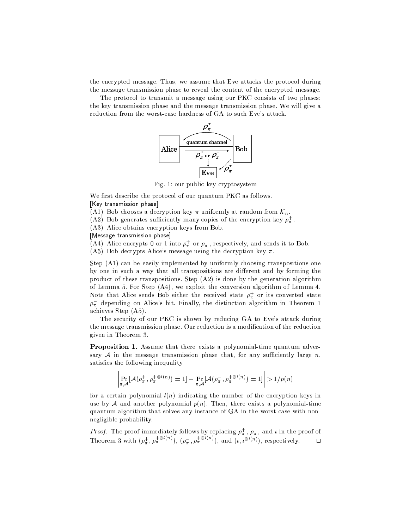the encrypted message. Thus, we assume that Eve attacks the protocol during the message transmission phase to reveal the content of the encrypted message.

The protocol to transmit a message using our PKC consists of two phases: the key transmission phase and the message transmission phase. We will give a reduction from the worst-case hardness of GA to such Eve's attack.



Fig. 1: our public-key cryptosystem

We first describe the protocol of our quantum PKC as follows. [Key transmission phase]

(A1) Bob chooses a decryption key  $\pi$  uniformly at random from  $\mathcal{K}_n$ .

(A2) Bob generates sufficiently many copies of the encryption key  $\rho^+$ .

(A3) Alice obtains encryption keys from Bob.

[Message transmission phase]

(A4) Alice encrypts 0 or 1 into  $\rho_{\pi}^+$  or  $\rho_{\pi}^-$ , respectively, and sends it to Bob.

(A5) Bob decrypts Alice's message using the decryption key  $\pi$ .

Step (A1) can be easily implemented by uniformly choosing transpositions one by one in such a way that all transpositions are different and by forming the product of these transpositions. Step (A2) is done by the generation algorithm of Lemma 5. For Step  $(A4)$ , we exploit the conversion algorithm of Lemma 4. Note that Alice sends Bob either the received state  $\rho^+_{\pi}$  or its converted state  $\rho_{\pi}^-$  depending on Alice's bit. Finally, the distinction algorithm in Theorem 1 achieves Step (A5).

The security of our PKC is shown by reducing GA to Eve's attack during the message transmission phase. Our reduction is a modification of the reduction given in Theorem 3.

**Proposition 1.** Assume that there exists a polynomial-time quantum adversary A in the message transmission phase that, for any sufficiently large  $n$ , satisfies the following inequality

$$
\left| \Pr_{\pi,\mathcal{A}} \left[ \mathcal{A}(\rho_{\pi}^+, \rho_{\pi}^{+\otimes l(n)}) = 1 \right] - \Pr_{\pi,\mathcal{A}} \left[ \mathcal{A}(\rho_{\pi}^-, \rho_{\pi}^{+\otimes l(n)}) = 1 \right] \right| > 1/p(n)
$$

for a certain polynomial  $l(n)$  indicating the number of the encryption keys in use by A and another polynomial  $p(n)$ . Then, there exists a polynomial-time quantum algorithm that solves any instance of GA in the worst case with nonnegligible probability.

*Proof.* The proof immediately follows by replacing  $\rho_{\pi}^+$ ,  $\rho_{\pi}^-$ , and  $\iota$  in the proof of Theorem 3 with  $(\rho_{\pi}^+, \rho_{\pi}^{+\otimes l(n)})$ ,  $(\rho_{\pi}^-, \rho_{\pi}^{+\otimes l(n)})$ , and  $(\iota, \iota^{\otimes l(n)})$ , respectively.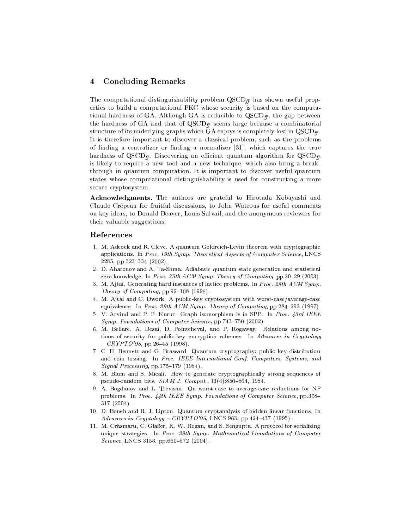# **Concluding Remarks**  $\overline{\mathbf{4}}$

The computational distinguishability problem  $QSCD<sub>f</sub>$  has shown useful properties to build a computational PKC whose security is based on the computational hardness of GA. Although GA is reducible to  $QSCD<sub>f</sub>$ , the gap between the hardness of GA and that of  $QSCD<sub>f</sub>$  seems large because a combinatorial structure of its underlying graphs which GA enjoys is completely lost in  $QSCD<sub>f</sub>$ . It is therefore important to discover a classical problem, such as the problems of finding a centralizer or finding a normalizer  $[31]$ , which captures the true hardness of  $\text{QSCD}_{ff}$ . Discovering an efficient quantum algorithm for  $\text{QSCD}_{ff}$ is likely to require a new tool and a new technique, which also bring a breakthrough in quantum computation. It is important to discover useful quantum states whose computational distinguishability is used for constructing a more secure cryptosystem.

Acknowledgments. The authors are grateful to Hirotada Kobayashi and Claude Crépeau for fruitful discussions, to John Watrous for useful comments on key ideas, to Donald Beaver, Louis Salvail, and the anonymous reviewers for their valuable suggestions.

# References

- 1. M. Adcock and R. Cleve. A quantum Goldreich-Levin theorem with cryptographic applications. In Proc. 19th Symp. Theoretical Aspects of Computer Science, LNCS 2285, pp.323-334 (2002).
- 2. D. Aharonov and A. Ta-Shma. Adiabatic quantum state generation and statistical zero knowledge. In Proc. 35th ACM Symp. Theory of Computing, pp. 20–29 (2003).
- 3. M. Ajtai. Generating hard instances of lattice problems. In Proc. 28th ACM Symp. Theory of Computing, pp.99-108 (1996).
- 4. M. Ajtai and C. Dwork. A public-key cryptosystem with worst-case/average-case equivalence. In Proc. 29th ACM Symp. Theory of Computing, pp.284-293 (1997).
- 5. V. Arvind and P. P. Kurur. Graph isomorphism is in SPP. In Proc. 43rd IEEE Symp. Foundations of Computer Science, pp.743-750 (2002).
- 6. M. Bellare, A. Desai, D. Pointcheval, and P. Rogaway. Relations among notions of security for public-key encryption schemes. In Advances in Cryptology  $-CRYPTO'98$ , pp.26-45 (1998).
- 7. C. H. Bennett and G. Brassard. Quantum cryptography: public key distribution and coin tossing. In Proc. IEEE International Conf. Computers, Systems, and Signal Processing, pp.175-179 (1984).
- 8. M. Blum and S. Micali. How to generate cryptographically strong sequences of pseudo-random bits. SIAM J. Comput., 13(4):850-864, 1984.
- 9. A. Bogdanov and L. Trevisan. On worst-case to average-case reductions for NP problems. In Proc. 44th IEEE Symp. Foundations of Computer Science, pp.308- $317(2004)$ .
- 10. D. Boneh and R. J. Lipton. Quantum cryptanalysis of hidden linear functions. In  $Advances in Cryptology - CRYPTO'35$ , LNCS 963, pp.424-437 (1995).
- 11. M. Crâsmaru, C. Glaßer, K. W. Regan, and S. Sengupta. A protocol for serializing unique strategies. In Proc. 29th Symp. Mathematical Foundations of Computer Science, LNCS 3153, pp.660-672 (2004).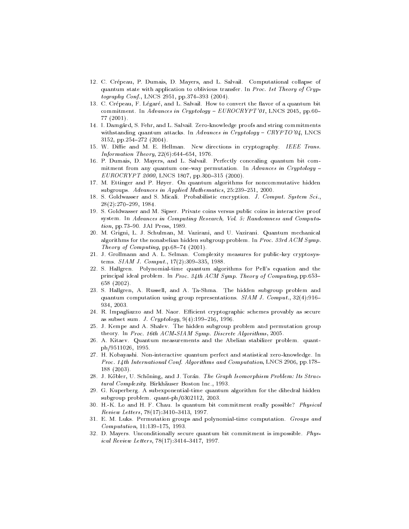- 12. C. Crépeau, P. Dumais, D. Mayers, and L. Salvail. Computational collapse of quantum state with application to oblivious transfer. In Proc. 1st Theory of Cruptography Conf., LNCS 2951, pp.374-393 (2004).
- 13. C. Crépeau, F. Légaré, and L. Salvail. How to convert the flavor of a quantum bit commitment. In Advances in Cryptology - EUROCRYPT'01, LNCS 2045, pp.60-77 (2001).
- 14. I. Damgård, S. Fehr, and L. Salvail. Zero-knowledge proofs and string commitments withstanding quantum attacks. In Advances in Cryptology -  $CRYPTO'04$ , LNCS 3152, pp.254-272 (2004).
- 15. W. Diffie and M. E. Hellman. New directions in cryptography. IEEE Trans. Information Theory, 22(6):644-654, 1976.
- 16. P. Dumais, D. Mayers, and L. Salvail. Perfectly concealing quantum bit commitment from any quantum one-way permutation. In Advances in Cryptology -EUROCRYPT 2000, LNCS 1807, pp.300-315 (2000).
- 17. M. Ettinger and P. Høyer. On quantum algorithms for noncommutative hidden subgroups. Advances in Applied Mathematics, 25:239-251, 2000.
- 18. S. Goldwasser and S. Micali. Probabilistic encryption. J. Comput. System Sci., 28(2):270-299, 1984.
- 19. S. Goldwasser and M. Sipser. Private coins versus public coins in interactive proof system. In Advances in Computing Research, Vol. 5: Randomness and Computation. pp.73-90. JAI Press. 1989.
- 20. M. Grigni, L. J. Schulman, M. Vazirani, and U. Vazirani. Quantum mechanical algorithms for the nonabelian hidden subgroup problem. In Proc. 33rd  $ACM$  Sump. Theory of Computing, pp.68-74 (2001).
- 21. J. Grollmann and A. L. Selman. Complexity measures for public-key cryptosystems. SIAM J. Comput., 17(2):309-335, 1988.
- 22. S. Hallgren. Polynomial-time quantum algorithms for Pell's equation and the principal ideal problem. In Proc. 34th ACM Symp. Theory of Computing, pp. 653– 658 (2002).
- 23. S. Hallgren, A. Russell, and A. Ta-Shma. The hidden subgroup problem and quantum computation using group representations.  $SIAM J. Comput., 32(4):916-$ 934. 2003.
- 24. R. Impagliazzo and M. Naor. Efficient cryptographic schemes provably as secure as subset sum. *J. Cryptology*,  $9(4):199-216$ , 1996.
- 25. J. Kempe and A. Shalev. The hidden subgroup problem and permutation group theory. In Proc. 16th ACM-SIAM Symp. Discrete Algorithms, 2005.
- 26. A. Kitaev. Quantum measurements and the Abelian stabilizer problem. quantph/9511026, 1995.
- 27. H. Kobayashi. Non-interactive quantum perfect and statistical zero-knowledge. In Proc. 14th International Conf. Algorithms and Computation, LNCS 2906, pp.178-188 (2003).
- 28. J. Köbler, U. Schöning, and J. Torán. The Graph Isomorphism Problem: Its Structural Complexity. Birkhauser Boston Inc., 1993.
- 29. G. Kuperberg. A subexponential-time quantum algorithm for the dihedral hidden subgroup problem. quant-ph/0302112, 2003.
- 30. H.-K. Lo and H. F. Chau. Is quantum bit commitment really possible? Physical Review Letters, 78(17):3410-3413, 1997.
- 31. E. M. Luks. Permutation groups and polynomial-time computation. Groups and Computation, 11:139-175, 1993.
- 32. D. Mayers. Unconditionally secure quantum bit commitment is impossible. Physical Review Letters, 78(17):3414-3417, 1997.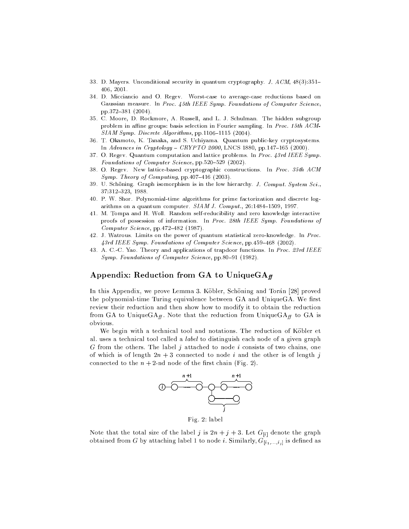- 33. D. Mayers. Unconditional security in quantum cryptography. J. ACM, 48(3):351– 406, 2001.
- 34. D. Micciancio and O. Regev. Worst-case to average-case reductions based on Gaussian measure. In Proc. 45th IEEE Symp. Foundations of Computer Science. pp.372-381 (2004).
- 35. C. Moore, D. Rockmore, A. Russell, and L. J. Schulman. The hidden subgroup problem in affine groups: basis selection in Fourier sampling. In Proc. 15th ACM-SIAM Symp. Discrete Algorithms, pp.1106-1115 (2004).
- 36. T. Okamoto, K. Tanaka, and S. Uchiyama. Quantum public-key cryptosystems. In Advances in Cryptology - CRYPTO 2000, LNCS 1880, pp. 147–165 (2000).
- 37. O. Regev. Quantum computation and lattice problems. In Proc. 43rd IEEE Symp. Foundations of Computer Science, pp.520-529 (2002).
- 38. O. Regev. New lattice-based cryptographic constructions. In Proc. 35th ACM Symp. Theory of Computing, pp. 407-416 (2003).
- 39. U. Schöning. Graph isomorphism is in the low hierarchy. J. Comput. System Sci., 37:312-323, 1988.
- 40. P. W. Shor. Polynomial-time algorithms for prime factorization and discrete logarithms on a quantum computer.  $SIAMJ. Comput.$  26:1484-1509, 1997.
- 41. M. Tompa and H. Woll. Random self-reducibility and zero knowledge interactive proofs of possession of information. In Proc. 28th IEEE Symp. Foundations of Computer Science, pp. 472-482 (1987).
- 42. J. Watrous. Limits on the power of quantum statistical zero-knowledge. In Proc. 43rd IEEE Symp. Foundations of Computer Science, pp. 459-468 (2002).
- 43. A. C.-C. Yao. Theory and applications of trapdoor functions. In Proc. 23rd IEEE Symp. Foundations of Computer Science, pp.80-91 (1982).

# Appendix: Reduction from GA to UniqueGA $_{\text{ff}}$

In this Appendix, we prove Lemma 3. Köbler, Schöning and Torán [28] proved the polynomial-time Turing equivalence between GA and UniqueGA. We first review their reduction and then show how to modify it to obtain the reduction from GA to UniqueGA $_{ff}$ . Note that the reduction from UniqueGA $_{ff}$  to GA is obvious.

We begin with a technical tool and notations. The reduction of Köbler et al. uses a technical tool called a *label* to distinguish each node of a given graph G from the others. The label j attached to node i consists of two chains, one of which is of length  $2n + 3$  connected to node *i* and the other is of length *j* connected to the  $n + 2$ -nd node of the first chain (Fig. 2).



Note that the total size of the label j is  $2n + j + 3$ . Let  $G_{[i]}$  denote the graph obtained from G by attaching label 1 to node *i*. Similarly,  $G_{[i_1,...,i_j]}$  is defined as